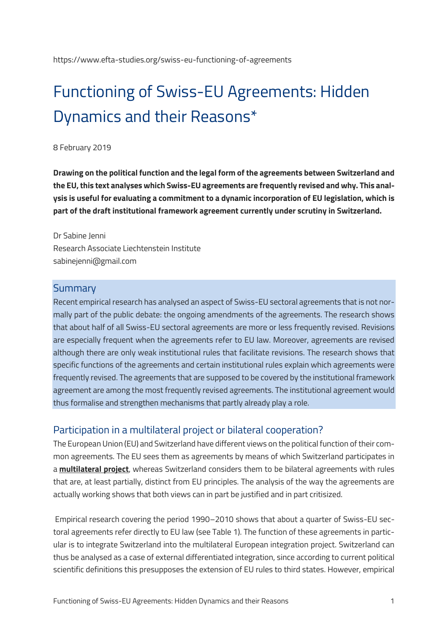# Functioning of Swiss-EU Agreements: Hidden Dynamics and their Reasons\*

#### 8 February 2019

**Drawing on the political function and the legal form of the agreements between Switzerland and the EU, this text analyses which Swiss-EU agreements are frequently revised and why. This analysis is useful for evaluating a commitment to a dynamic incorporation of EU legislation, which is part of the draft institutional framework agreement currently under scrutiny in Switzerland.**

Dr Sabine Jenni Research Associate Liechtenstein Institute sabinejenni@gmail.com

#### **Summary**

Recent empirical research has analysed an aspect of Swiss-EU sectoral agreements that is not normally part of the public debate: the ongoing amendments of the agreements. The research shows that about half of all Swiss-EU sectoral agreements are more or less frequently revised. Revisions are especially frequent when the agreements refer to EU law. Moreover, agreements are revised although there are only weak institutional rules that facilitate revisions. The research shows that specific functions of the agreements and certain institutional rules explain which agreements were frequently revised. The agreements that are supposed to be covered by the institutional framework agreement are among the most frequently revised agreements. The institutional agreement would thus formalise and strengthen mechanisms that partly already play a role.

#### Participation in a multilateral project or bilateral cooperation?

The European Union (EU) and Switzerland have different views on the political function of their common agreements. The EU sees them as agreements by means of which Switzerland participates in a **[multilateral project](https://www.consilium.europa.eu/uedocs/cms_data/docs/pressdata/en/er/146315.pdf)**, whereas Switzerland considers them to be bilateral agreements with rules that are, at least partially, distinct from EU principles. The analysis of the way the agreements are actually working shows that both views can in part be justified and in part critisized.

Empirical research covering the period 1990–2010 shows that about a quarter of Swiss-EU sectoral agreements refer directly to EU law (see Table 1). The function of these agreements in particular is to integrate Switzerland into the multilateral European integration project. Switzerland can thus be analysed as a case of external differentiated integration, since according to current political scientific definitions this presupposes the extension of EU rules to third states. However, empirical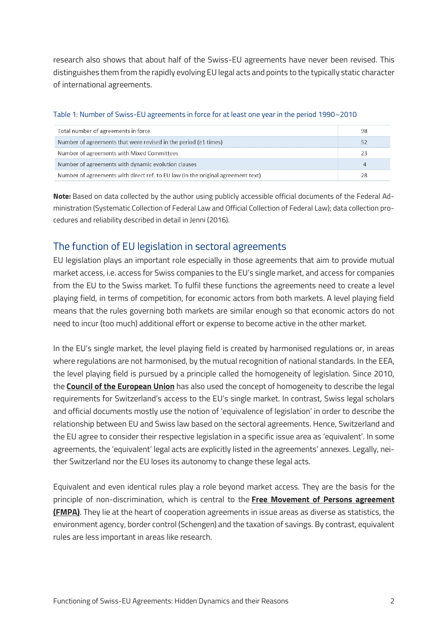research also shows that about half of the Swiss-EU agreements have never been revised. This distinguishes them from the rapidly evolving EU legal acts and points to the typically static character of international agreements.

| Total number of agreements in force                                              | 98 |
|----------------------------------------------------------------------------------|----|
| Number of agreements that were revised in the period $(21 \text{ times})$        | 52 |
| Number of agreements with Mixed Committees                                       | 23 |
| Number of agreements with dynamic evolution clauses                              |    |
| Number of agreements with direct ref. to EU law (in the original agreement text) |    |

#### Table 1: Number of Swiss-EU agreements in force for at least one year in the period 1990–2010

**Note:** Based on data collected by the author using publicly accessible official documents of the Federal Administration (Systematic Collection of Federal Law and Official Collection of Federal Law); data collection procedures and reliability described in detail in Jenni (2016).

## The function of EU legislation in sectoral agreements

EU legislation plays an important role especially in those agreements that aim to provide mutual market access, i.e. access for Swiss companies to the EU's single market, and access for companies from the EU to the Swiss market. To fulfil these functions the agreements need to create a level playing field, in terms of competition, for economic actors from both markets. A level playing field means that the rules governing both markets are similar enough so that economic actors do not need to incur (too much) additional effort or expense to become active in the other market.

In the EU's single market, the level playing field is created by harmonised regulations or, in areas where regulations are not harmonised, by the mutual recognition of national standards. In the EEA, the level playing field is pursued by a principle called the homogeneity of legislation. Since 2010, the **[Council of the European Union](http://www.consilium.europa.eu/uedocs/cms_data/docs/pressdata/EN/foraff/118458.pdf)** has also used the concept of homogeneity to describe the legal requirements for Switzerland's access to the EU's single market. In contrast, Swiss legal scholars and official documents mostly use the notion of 'equivalence of legislation' in order to describe the relationship between EU and Swiss law based on the sectoral agreements. Hence, Switzerland and the EU agree to consider their respective legislation in a specific issue area as 'equivalent'. In some agreements, the 'equivalent' legal acts are explicitly listed in the agreements' annexes. Legally, neither Switzerland nor the EU loses its autonomy to change these legal acts.

Equivalent and even identical rules play a role beyond market access. They are the basis for the principle of non-discrimination, which is central to the **[Free Movement of Persons agreement](https://www.eda.admin.ch/dea/en/home/bilaterale-abkommen/ueberblick/bilaterale-abkommen-1/personenfreizuegigkeit.html)  [\(FMPA\)](https://www.eda.admin.ch/dea/en/home/bilaterale-abkommen/ueberblick/bilaterale-abkommen-1/personenfreizuegigkeit.html)**. They lie at the heart of cooperation agreements in issue areas as diverse as statistics, the environment agency, border control (Schengen) and the taxation of savings. By contrast, equivalent rules are less important in areas like research.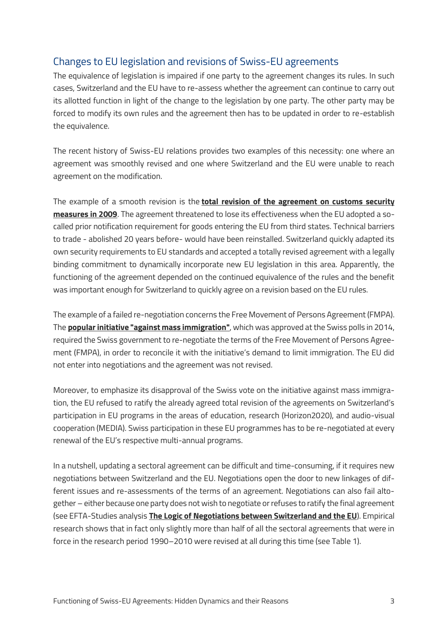# Changes to EU legislation and revisions of Swiss-EU agreements

The equivalence of legislation is impaired if one party to the agreement changes its rules. In such cases, Switzerland and the EU have to re-assess whether the agreement can continue to carry out its allotted function in light of the change to the legislation by one party. The other party may be forced to modify its own rules and the agreement then has to be updated in order to re-establish the equivalence.

The recent history of Swiss-EU relations provides two examples of this necessity: one where an agreement was smoothly revised and one where Switzerland and the EU were unable to reach agreement on the modification.

The example of a smooth revision is the **[total revision of the agreement on customs security](https://www.admin.ch/gov/de/start/dokumentation/medienmitteilungen.msg-id-30382.html)  [measures in 2009](https://www.admin.ch/gov/de/start/dokumentation/medienmitteilungen.msg-id-30382.html)**. The agreement threatened to lose its effectiveness when the EU adopted a socalled prior notification requirement for goods entering the EU from third states. Technical barriers to trade - abolished 20 years before- would have been reinstalled. Switzerland quickly adapted its own security requirements to EU standards and accepted a totally revised agreement with a legally binding commitment to dynamically incorporate new EU legislation in this area. Apparently, the functioning of the agreement depended on the continued equivalence of the rules and the benefit was important enough for Switzerland to quickly agree on a revision based on the EU rules.

The example of a failed re-negotiation concerns the Free Movement of Persons Agreement (FMPA). The **[popular initiative "against mass immigration"](https://www.eda.admin.ch/dea/en/home/europapolitik/abstimmungen/gegen-masseneinwanderung.html)**, which was approved at the Swiss polls in 2014, required the Swiss government to re-negotiate the terms of the Free Movement of Persons Agreement (FMPA), in order to reconcile it with the initiative's demand to limit immigration. The EU did not enter into negotiations and the agreement was not revised.

Moreover, to emphasize its disapproval of the Swiss vote on the initiative against mass immigration, the EU refused to ratify the already agreed total revision of the agreements on Switzerland's participation in EU programs in the areas of education, research (Horizon2020), and audio-visual cooperation (MEDIA). Swiss participation in these EU programmes has to be re-negotiated at every renewal of the EU's respective multi-annual programs.

In a nutshell, updating a sectoral agreement can be difficult and time-consuming, if it requires new negotiations between Switzerland and the EU. Negotiations open the door to new linkages of different issues and re-assessments of the terms of an agreement. Negotiations can also fail altogether – either because one party does not wish to negotiate or refuses to ratify the final agreement (see EFTA-Studies analysis **[The Logic of Negotiations between Switzerland and the EU](https://www.efta-studies.org/swiss-eu-logic-of-negotiations)**). Empirical research shows that in fact only slightly more than half of all the sectoral agreements that were in force in the research period 1990–2010 were revised at all during this time (see Table 1).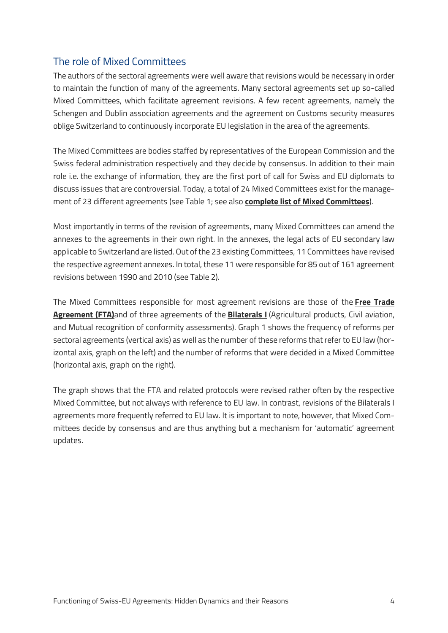# The role of Mixed Committees

The authors of the sectoral agreements were well aware that revisions would be necessary in order to maintain the function of many of the agreements. Many sectoral agreements set up so-called Mixed Committees, which facilitate agreement revisions. A few recent agreements, namely the Schengen and Dublin association agreements and the agreement on Customs security measures oblige Switzerland to continuously incorporate EU legislation in the area of the agreements.

The Mixed Committees are bodies staffed by representatives of the European Commission and the Swiss federal administration respectively and they decide by consensus. In addition to their main role i.e. the exchange of information, they are the first port of call for Swiss and EU diplomats to discuss issues that are controversial. Today, a total of 24 Mixed Committees exist for the management of 23 different agreements (see Table 1; see also **[complete list of Mixed Committees](https://www.eda.admin.ch/dam/dea/de/documents/publikationen_dea/cm-liste_de.pdf)**).

Most importantly in terms of the revision of agreements, many Mixed Committees can amend the annexes to the agreements in their own right. In the annexes, the legal acts of EU secondary law applicable to Switzerland are listed. Out of the 23 existing Committees, 11 Committees have revised the respective agreement annexes. In total, these 11 were responsible for 85 out of 161 agreement revisions between 1990 and 2010 (see Table 2).

The Mixed Committees responsible for most agreement revisions are those of the **[Free Trade](https://www.eda.admin.ch/dea/en/home/bilaterale-abkommen/ueberblick/bilaterale-abkommen-bis-1999/freihandel.html)  [Agreement \(FTA\)](https://www.eda.admin.ch/dea/en/home/bilaterale-abkommen/ueberblick/bilaterale-abkommen-bis-1999/freihandel.html)**and of three agreements of the **[Bilaterals I](https://www.eda.admin.ch/dea/en/home/bilaterale-abkommen/ueberblick/bilaterale-abkommen-1.html)** (Agricultural products, Civil aviation, and Mutual recognition of conformity assessments). Graph 1 shows the frequency of reforms per sectoral agreements (vertical axis) as well as the number of these reforms that refer to EU law (horizontal axis, graph on the left) and the number of reforms that were decided in a Mixed Committee (horizontal axis, graph on the right).

The graph shows that the FTA and related protocols were revised rather often by the respective Mixed Committee, but not always with reference to EU law. In contrast, revisions of the Bilaterals I agreements more frequently referred to EU law. It is important to note, however, that Mixed Committees decide by consensus and are thus anything but a mechanism for 'automatic' agreement updates.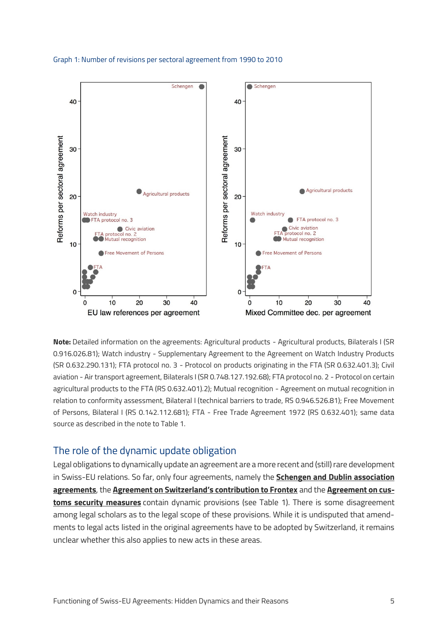



**Note:** Detailed information on the agreements: Agricultural products - Agricultural products, Bilaterals I (SR 0.916.026.81); Watch industry - Supplementary Agreement to the Agreement on Watch Industry Products (SR 0.632.290.131); FTA protocol no. 3 - Protocol on products originating in the FTA (SR 0.632.401.3); Civil aviation - Air transport agreement, Bilaterals I (SR 0.748.127.192.68); FTA protocol no. 2 - Protocol on certain agricultural products to the FTA (RS 0.632.401).2); Mutual recognition - Agreement on mutual recognition in relation to conformity assessment, Bilateral I (technical barriers to trade, RS 0.946.526.81); Free Movement of Persons, Bilateral I (RS 0.142.112.681); FTA - Free Trade Agreement 1972 (RS 0.632.401); same data source as described in the note to Table 1.

#### The role of the dynamic update obligation

Legal obligations to dynamically update an agreement are a more recent and (still) rare development in Swiss-EU relations. So far, only four agreements, namely the **[Schengen and Dublin association](https://www.eda.admin.ch/dea/en/home/bilaterale-abkommen/ueberblick/bilaterale-abkommen-2/schengen.html)  [agreements](https://www.eda.admin.ch/dea/en/home/bilaterale-abkommen/ueberblick/bilaterale-abkommen-2/schengen.html)**, the **[Agreement on Switzerland's contribution to Frontex](https://www.efd.admin.ch/efd/de/home/dokumentation/nsb-news_list.msg-id-28678.html)** and the **[Agreement on cus](https://www.eda.admin.ch/dea/en/home/bilaterale-abkommen/ueberblick/bilaterale-abkommen-bis-1999/zollerleichterungen-zollsicherheit.html)[toms security measures](https://www.eda.admin.ch/dea/en/home/bilaterale-abkommen/ueberblick/bilaterale-abkommen-bis-1999/zollerleichterungen-zollsicherheit.html)** contain dynamic provisions (see Table 1). There is some disagreement among legal scholars as to the legal scope of these provisions. While it is undisputed that amendments to legal acts listed in the original agreements have to be adopted by Switzerland, it remains unclear whether this also applies to new acts in these areas.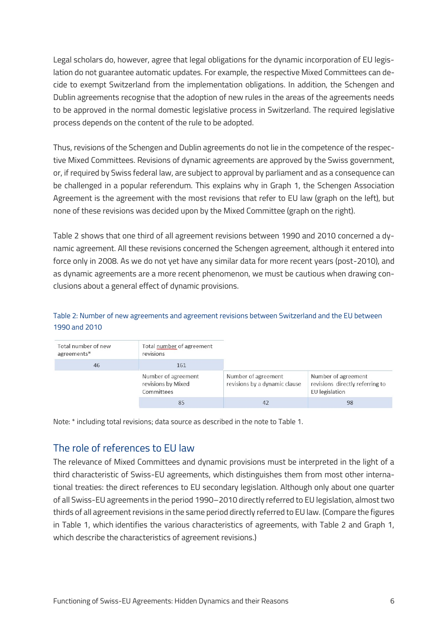Legal scholars do, however, agree that legal obligations for the dynamic incorporation of EU legislation do not guarantee automatic updates. For example, the respective Mixed Committees can decide to exempt Switzerland from the implementation obligations. In addition, the Schengen and Dublin agreements recognise that the adoption of new rules in the areas of the agreements needs to be approved in the normal domestic legislative process in Switzerland. The required legislative process depends on the content of the rule to be adopted.

Thus, revisions of the Schengen and Dublin agreements do not lie in the competence of the respective Mixed Committees. Revisions of dynamic agreements are approved by the Swiss government, or, if required by Swiss federal law, are subject to approval by parliament and as a consequence can be challenged in a popular referendum. This explains why in Graph 1, the Schengen Association Agreement is the agreement with the most revisions that refer to EU law (graph on the left), but none of these revisions was decided upon by the Mixed Committee (graph on the right).

Table 2 shows that one third of all agreement revisions between 1990 and 2010 concerned a dynamic agreement. All these revisions concerned the Schengen agreement, although it entered into force only in 2008. As we do not yet have any similar data for more recent years (post-2010), and as dynamic agreements are a more recent phenomenon, we must be cautious when drawing conclusions about a general effect of dynamic provisions.

#### Table 2: Number of new agreements and agreement revisions between Switzerland and the EU between 1990 and 2010

| Total number of new<br>agreements* | Total number of agreement<br>revisions                  |                                                      |                                                                          |
|------------------------------------|---------------------------------------------------------|------------------------------------------------------|--------------------------------------------------------------------------|
| 46                                 | 161                                                     |                                                      |                                                                          |
|                                    | Number of agreement<br>revisions by Mixed<br>Committees | Number of agreement<br>revisions by a dynamic clause | Number of agreement<br>revisions directly referring to<br>EU legislation |
|                                    | 85                                                      | 42                                                   | 98                                                                       |

Note: \* including total revisions; data source as described in the note to Table 1.

# The role of references to EU law

The relevance of Mixed Committees and dynamic provisions must be interpreted in the light of a third characteristic of Swiss-EU agreements, which distinguishes them from most other international treaties: the direct references to EU secondary legislation. Although only about one quarter of all Swiss-EU agreements in the period 1990–2010 directly referred to EU legislation, almost two thirds of all agreement revisions in the same period directly referred to EU law. (Compare the figures in Table 1, which identifies the various characteristics of agreements, with Table 2 and Graph 1, which describe the characteristics of agreement revisions.)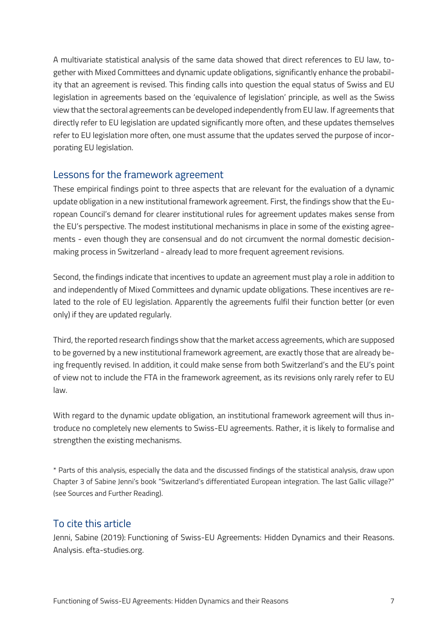A multivariate statistical analysis of the same data showed that direct references to EU law, together with Mixed Committees and dynamic update obligations, significantly enhance the probability that an agreement is revised. This finding calls into question the equal status of Swiss and EU legislation in agreements based on the 'equivalence of legislation' principle, as well as the Swiss view that the sectoral agreements can be developed independently from EU law. If agreements that directly refer to EU legislation are updated significantly more often, and these updates themselves refer to EU legislation more often, one must assume that the updates served the purpose of incorporating EU legislation.

#### Lessons for the framework agreement

These empirical findings point to three aspects that are relevant for the evaluation of a dynamic update obligation in a new institutional framework agreement. First, the findings show that the European Council's demand for clearer institutional rules for agreement updates makes sense from the EU's perspective. The modest institutional mechanisms in place in some of the existing agreements - even though they are consensual and do not circumvent the normal domestic decisionmaking process in Switzerland - already lead to more frequent agreement revisions.

Second, the findings indicate that incentives to update an agreement must play a role in addition to and independently of Mixed Committees and dynamic update obligations. These incentives are related to the role of EU legislation. Apparently the agreements fulfil their function better (or even only) if they are updated regularly.

Third, the reported research findings show that the market access agreements, which are supposed to be governed by a new institutional framework agreement, are exactly those that are already being frequently revised. In addition, it could make sense from both Switzerland's and the EU's point of view not to include the FTA in the framework agreement, as its revisions only rarely refer to EU law.

With regard to the dynamic update obligation, an institutional framework agreement will thus introduce no completely new elements to Swiss-EU agreements. Rather, it is likely to formalise and strengthen the existing mechanisms.

\* Parts of this analysis, especially the data and the discussed findings of the statistical analysis, draw upon Chapter 3 of Sabine Jenni's book "Switzerland's differentiated European integration. The last Gallic village?" (see Sources and Further Reading).

### To cite this article

Jenni, Sabine (2019): Functioning of Swiss-EU Agreements: Hidden Dynamics and their Reasons. Analysis. efta-studies.org.